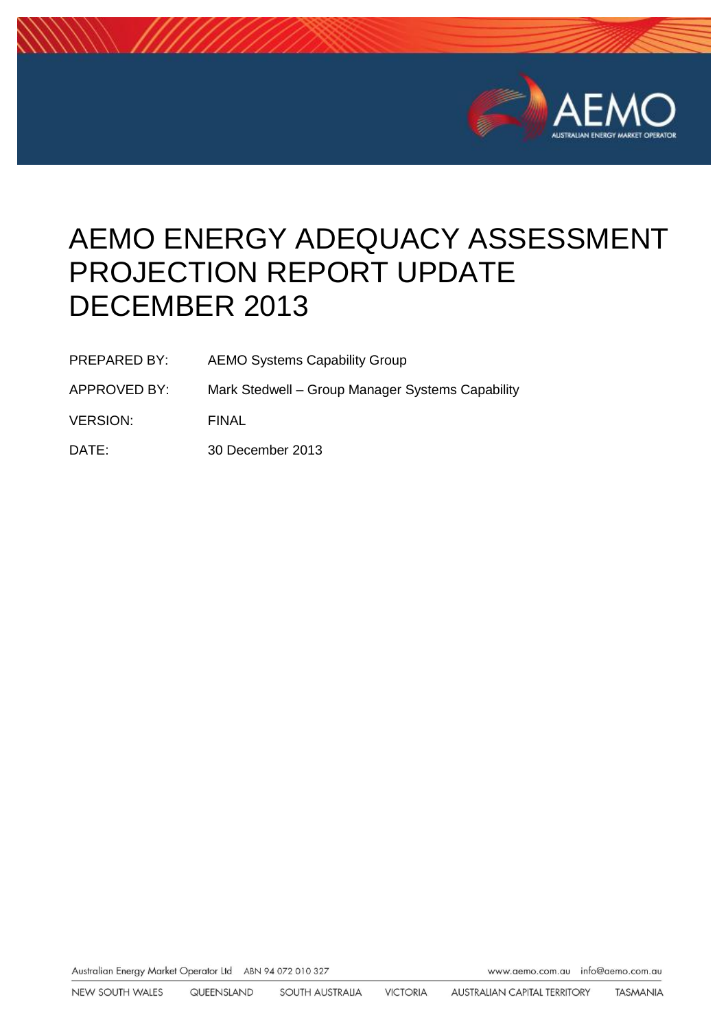

# AEMO ENERGY ADEQUACY ASSESSMENT PROJECTION REPORT UPDATE DECEMBER 2013

- PREPARED BY: AEMO Systems Capability Group
- APPROVED BY: Mark Stedwell Group Manager Systems Capability
- VERSION: FINAL
- DATE: 30 December 2013

Australian Energy Market Operator Ltd ABN 94 072 010 327

www.aemo.com.au info@aemo.com.au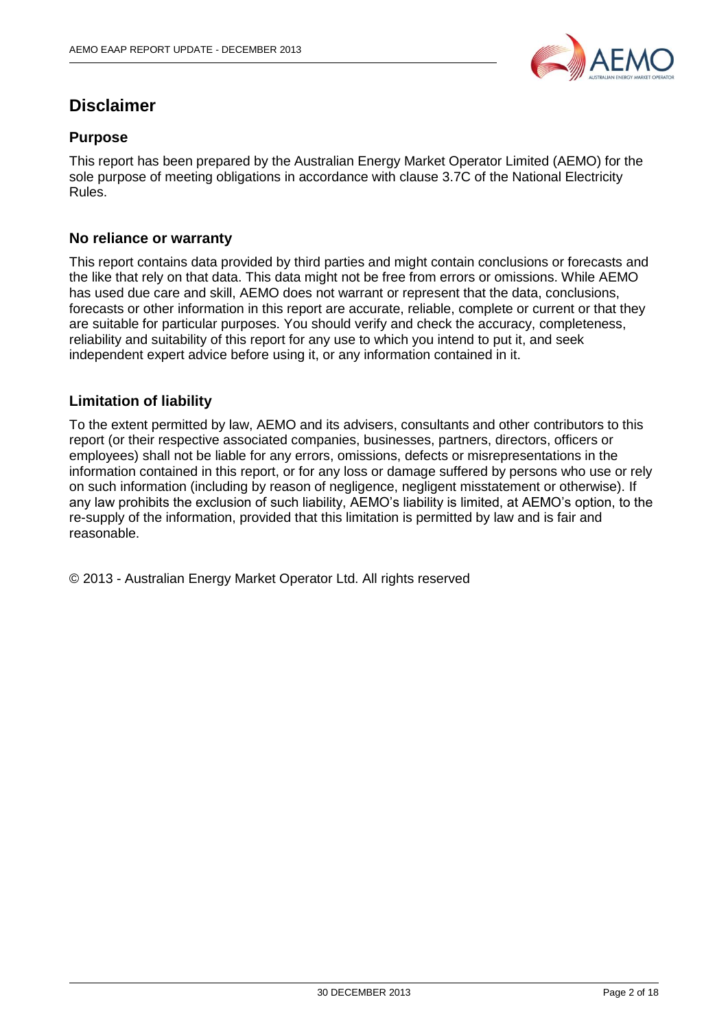

### **Disclaimer**

### **Purpose**

This report has been prepared by the Australian Energy Market Operator Limited (AEMO) for the sole purpose of meeting obligations in accordance with clause 3.7C of the National Electricity Rules.

#### **No reliance or warranty**

This report contains data provided by third parties and might contain conclusions or forecasts and the like that rely on that data. This data might not be free from errors or omissions. While AEMO has used due care and skill, AEMO does not warrant or represent that the data, conclusions, forecasts or other information in this report are accurate, reliable, complete or current or that they are suitable for particular purposes. You should verify and check the accuracy, completeness, reliability and suitability of this report for any use to which you intend to put it, and seek independent expert advice before using it, or any information contained in it.

#### **Limitation of liability**

To the extent permitted by law, AEMO and its advisers, consultants and other contributors to this report (or their respective associated companies, businesses, partners, directors, officers or employees) shall not be liable for any errors, omissions, defects or misrepresentations in the information contained in this report, or for any loss or damage suffered by persons who use or rely on such information (including by reason of negligence, negligent misstatement or otherwise). If any law prohibits the exclusion of such liability, AEMO's liability is limited, at AEMO's option, to the re-supply of the information, provided that this limitation is permitted by law and is fair and reasonable.

© 2013 - Australian Energy Market Operator Ltd. All rights reserved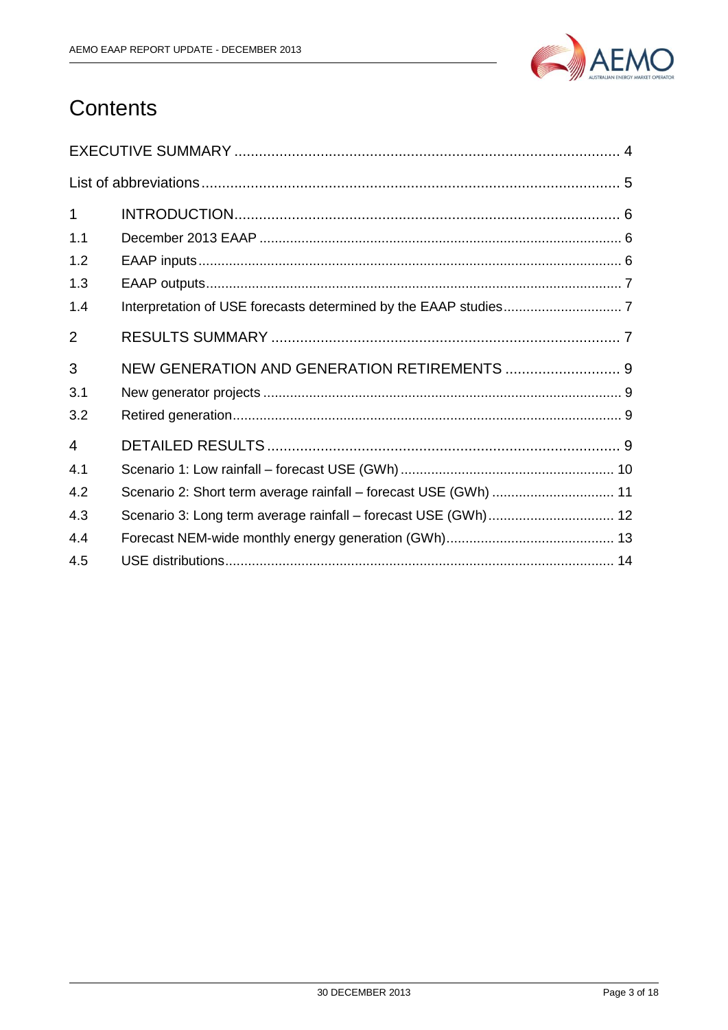

# Contents

| $\mathbf{1}$   |                                                                  |
|----------------|------------------------------------------------------------------|
| 1.1            |                                                                  |
| 1.2            |                                                                  |
| 1.3            |                                                                  |
| 1.4            |                                                                  |
| $\overline{2}$ |                                                                  |
| 3              |                                                                  |
| 3.1            |                                                                  |
| 3.2            |                                                                  |
| 4              |                                                                  |
| 4.1            |                                                                  |
| 4.2            | Scenario 2: Short term average rainfall - forecast USE (GWh)  11 |
| 4.3            |                                                                  |
| 4.4            |                                                                  |
| 4.5            |                                                                  |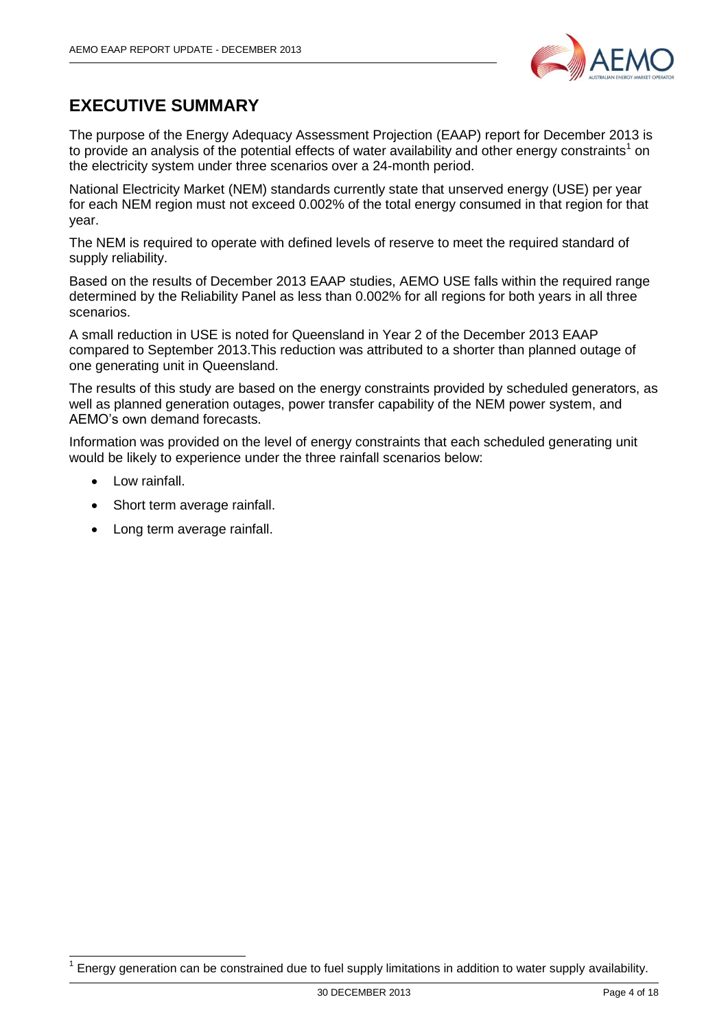

# <span id="page-3-0"></span>**EXECUTIVE SUMMARY**

The purpose of the Energy Adequacy Assessment Projection (EAAP) report for December 2013 is to provide an analysis of the potential effects of water availability and other energy constraints<sup>1</sup> on the electricity system under three scenarios over a 24-month period.

National Electricity Market (NEM) standards currently state that unserved energy (USE) per year for each NEM region must not exceed 0.002% of the total energy consumed in that region for that year.

The NEM is required to operate with defined levels of reserve to meet the required standard of supply reliability.

Based on the results of December 2013 EAAP studies, AEMO USE falls within the required range determined by the Reliability Panel as less than 0.002% for all regions for both years in all three scenarios.

A small reduction in USE is noted for Queensland in Year 2 of the December 2013 EAAP compared to September 2013.This reduction was attributed to a shorter than planned outage of one generating unit in Queensland.

The results of this study are based on the energy constraints provided by scheduled generators, as well as planned generation outages, power transfer capability of the NEM power system, and AEMO's own demand forecasts.

Information was provided on the level of energy constraints that each scheduled generating unit would be likely to experience under the three rainfall scenarios below:

Low rainfall.

-

- Short term average rainfall.
- Long term average rainfall.

<sup>1</sup> Energy generation can be constrained due to fuel supply limitations in addition to water supply availability.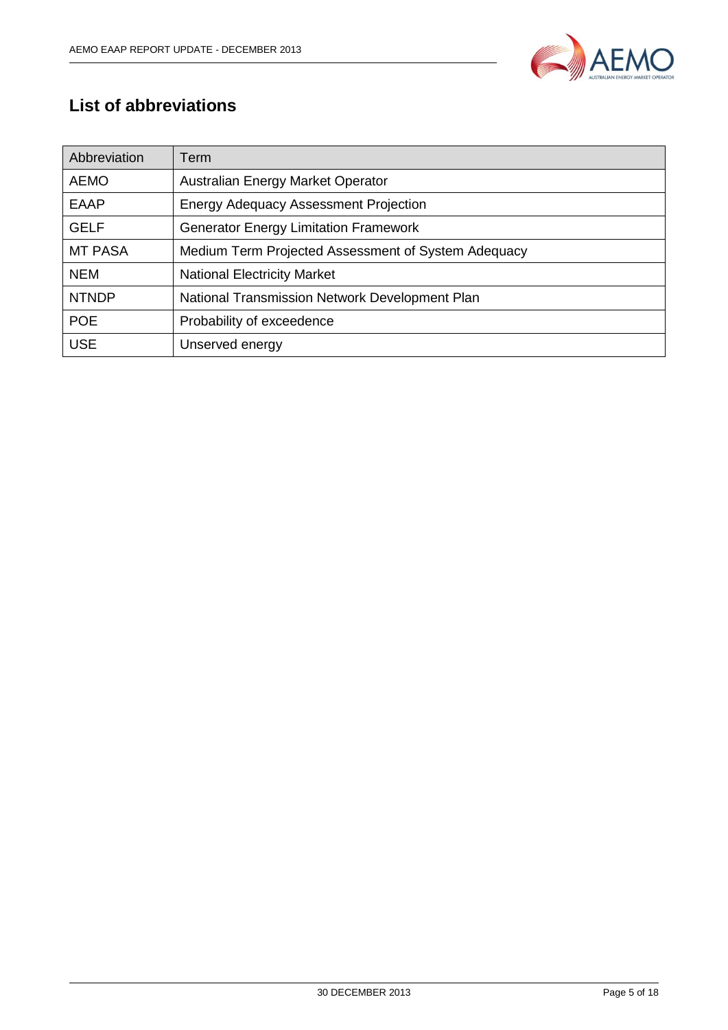

# <span id="page-4-0"></span>**List of abbreviations**

| Abbreviation   | Term                                                |  |  |  |
|----------------|-----------------------------------------------------|--|--|--|
| <b>AEMO</b>    | Australian Energy Market Operator                   |  |  |  |
| <b>EAAP</b>    | <b>Energy Adequacy Assessment Projection</b>        |  |  |  |
| <b>GELF</b>    | <b>Generator Energy Limitation Framework</b>        |  |  |  |
| <b>MT PASA</b> | Medium Term Projected Assessment of System Adequacy |  |  |  |
| <b>NEM</b>     | <b>National Electricity Market</b>                  |  |  |  |
| <b>NTNDP</b>   | National Transmission Network Development Plan      |  |  |  |
| <b>POE</b>     | Probability of exceedence                           |  |  |  |
| <b>USE</b>     | Unserved energy                                     |  |  |  |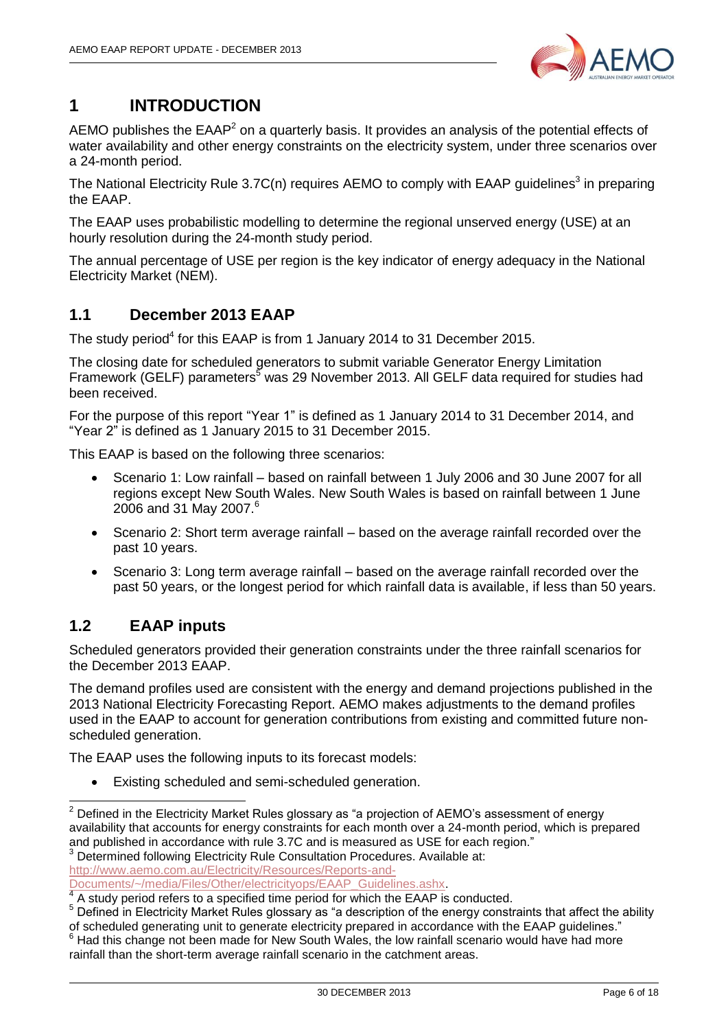

# <span id="page-5-0"></span>**1 INTRODUCTION**

AEMO publishes the EAAP<sup>2</sup> on a quarterly basis. It provides an analysis of the potential effects of water availability and other energy constraints on the electricity system, under three scenarios over a 24-month period.

The National Electricity Rule 3.7C(n) requires AEMO to comply with EAAP guidelines<sup>3</sup> in preparing the EAAP.

The EAAP uses probabilistic modelling to determine the regional unserved energy (USE) at an hourly resolution during the 24-month study period.

The annual percentage of USE per region is the key indicator of energy adequacy in the National Electricity Market (NEM).

### <span id="page-5-1"></span>**1.1 December 2013 EAAP**

The study period<sup>4</sup> for this EAAP is from 1 January 2014 to 31 December 2015.

The closing date for scheduled generators to submit variable Generator Energy Limitation Framework (GELF) parameters<sup>5</sup> was 29 November 2013. All GELF data required for studies had been received.

For the purpose of this report "Year 1" is defined as 1 January 2014 to 31 December 2014, and "Year 2" is defined as 1 January 2015 to 31 December 2015.

This EAAP is based on the following three scenarios:

- Scenario 1: Low rainfall based on rainfall between 1 July 2006 and 30 June 2007 for all regions except New South Wales. New South Wales is based on rainfall between 1 June 2006 and 31 May 2007. 6
- Scenario 2: Short term average rainfall based on the average rainfall recorded over the past 10 years.
- Scenario 3: Long term average rainfall based on the average rainfall recorded over the past 50 years, or the longest period for which rainfall data is available, if less than 50 years.

### <span id="page-5-2"></span>**1.2 EAAP inputs**

Scheduled generators provided their generation constraints under the three rainfall scenarios for the December 2013 EAAP.

The demand profiles used are consistent with the energy and demand projections published in the 2013 National Electricity Forecasting Report. AEMO makes adjustments to the demand profiles used in the EAAP to account for generation contributions from existing and committed future nonscheduled generation.

The EAAP uses the following inputs to its forecast models:

Existing scheduled and semi-scheduled generation.

Determined following Electricity Rule Consultation Procedures. Available at:

[http://www.aemo.com.au/Electricity/Resources/Reports-and-](http://www.aemo.com.au/Electricity/Resources/Reports-and-Documents/~/media/Files/Other/electricityops/EAAP_Guidelines.ashx)

<sup>-</sup> $2$  Defined in the Electricity Market Rules glossary as "a projection of AEMO's assessment of energy availability that accounts for energy constraints for each month over a 24-month period, which is prepared and published in accordance with rule 3.7C and is measured as USE for each region."

[Documents/~/media/Files/Other/electricityops/EAAP\\_Guidelines.ashx.](http://www.aemo.com.au/Electricity/Resources/Reports-and-Documents/~/media/Files/Other/electricityops/EAAP_Guidelines.ashx) 4

A study period refers to a specified time period for which the EAAP is conducted.

<sup>5</sup> Defined in Electricity Market Rules glossary as "a description of the energy constraints that affect the ability of scheduled generating unit to generate electricity prepared in accordance with the EAAP guidelines."<br><sup>6</sup> Hod this obsesse not because the fact in the set of the set of the set of the set of the set of the set of the set

<sup>6</sup> Had this change not been made for New South Wales, the low rainfall scenario would have had more rainfall than the short-term average rainfall scenario in the catchment areas.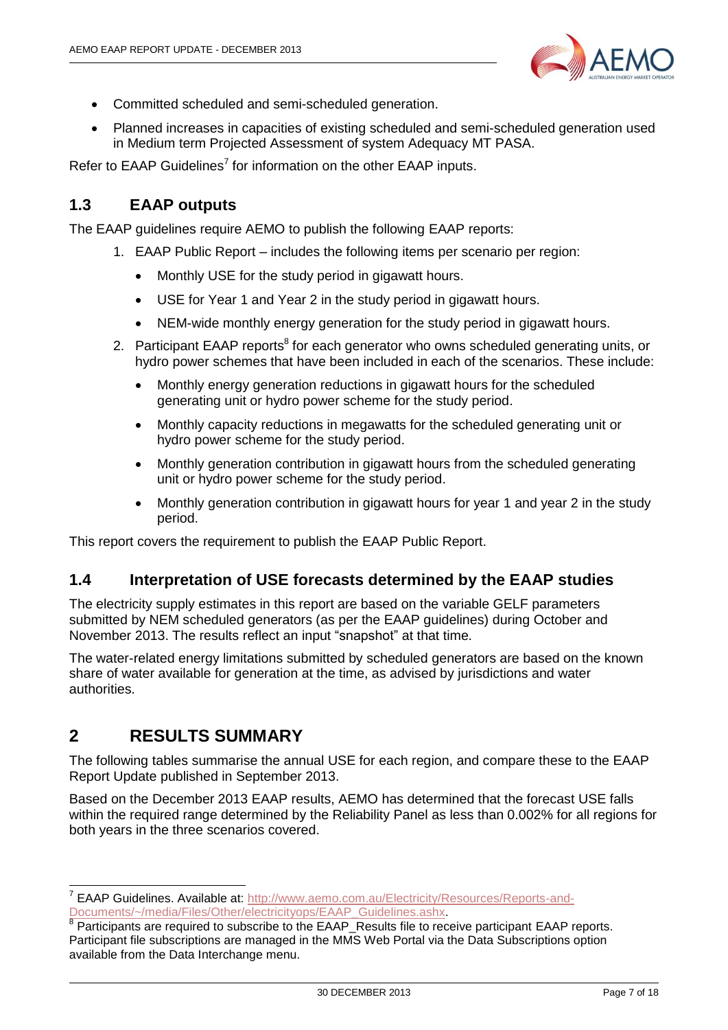

- Committed scheduled and semi-scheduled generation.
- Planned increases in capacities of existing scheduled and semi-scheduled generation used in Medium term Projected Assessment of system Adequacy MT PASA.

Refer to EAAP Guidelines<sup>7</sup> for information on the other EAAP inputs.

### <span id="page-6-0"></span>**1.3 EAAP outputs**

The EAAP guidelines require AEMO to publish the following EAAP reports:

- 1. EAAP Public Report includes the following items per scenario per region:
	- Monthly USE for the study period in gigawatt hours.
	- USE for Year 1 and Year 2 in the study period in gigawatt hours.
	- NEM-wide monthly energy generation for the study period in gigawatt hours.
- 2. Participant EAAP reports<sup>8</sup> for each generator who owns scheduled generating units, or hydro power schemes that have been included in each of the scenarios. These include:
	- Monthly energy generation reductions in gigawatt hours for the scheduled generating unit or hydro power scheme for the study period.
	- Monthly capacity reductions in megawatts for the scheduled generating unit or hydro power scheme for the study period.
	- Monthly generation contribution in gigawatt hours from the scheduled generating unit or hydro power scheme for the study period.
	- Monthly generation contribution in gigawatt hours for year 1 and year 2 in the study period.

This report covers the requirement to publish the EAAP Public Report.

#### <span id="page-6-1"></span>**1.4 Interpretation of USE forecasts determined by the EAAP studies**

The electricity supply estimates in this report are based on the variable GELF parameters submitted by NEM scheduled generators (as per the EAAP guidelines) during October and November 2013. The results reflect an input "snapshot" at that time.

The water-related energy limitations submitted by scheduled generators are based on the known share of water available for generation at the time, as advised by jurisdictions and water authorities.

### <span id="page-6-2"></span>**2 RESULTS SUMMARY**

The following tables summarise the annual USE for each region, and compare these to the EAAP Report Update published in September 2013.

Based on the December 2013 EAAP results, AEMO has determined that the forecast USE falls within the required range determined by the Reliability Panel as less than 0.002% for all regions for both years in the three scenarios covered.

 7 EAAP Guidelines. Available at: [http://www.aemo.com.au/Electricity/Resources/Reports-and-](http://www.aemo.com.au/Electricity/Resources/Reports-and-Documents/~/media/Files/Other/electricityops/EAAP_Guidelines.ashx)[Documents/~/media/Files/Other/electricityops/EAAP\\_Guidelines.ashx.](http://www.aemo.com.au/Electricity/Resources/Reports-and-Documents/~/media/Files/Other/electricityops/EAAP_Guidelines.ashx)

<sup>&</sup>lt;sup>8</sup> Participants are required to subscribe to the EAAP\_Results file to receive participant EAAP reports. Participant file subscriptions are managed in the MMS Web Portal via the Data Subscriptions option available from the Data Interchange menu.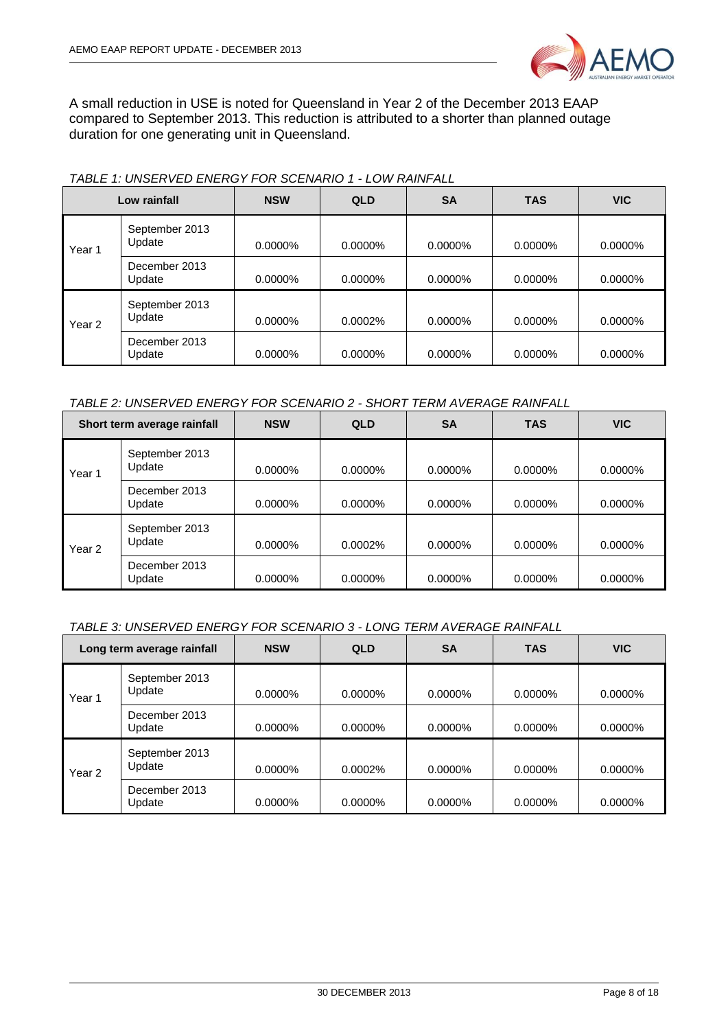

A small reduction in USE is noted for Queensland in Year 2 of the December 2013 EAAP compared to September 2013. This reduction is attributed to a shorter than planned outage duration for one generating unit in Queensland.

| Low rainfall      |                          | <b>NSW</b> | <b>QLD</b> | <b>SA</b> | <b>TAS</b> | <b>VIC</b> |
|-------------------|--------------------------|------------|------------|-----------|------------|------------|
| Year 1            | September 2013<br>Update | 0.0000%    | 0.0000%    | 0.0000%   | 0.0000%    | 0.0000%    |
|                   | December 2013<br>Update  | $0.0000\%$ | $0.0000\%$ | 0.0000%   | 0.0000%    | 0.0000%    |
| Year <sub>2</sub> | September 2013<br>Update | 0.0000%    | 0.0002%    | 0.0000%   | 0.0000%    | 0.0000%    |
|                   | December 2013<br>Update  | 0.0000%    | 0.0000%    | 0.0000%   | 0.0000%    | 0.0000%    |

#### *TABLE 1: UNSERVED ENERGY FOR SCENARIO 1 - LOW RAINFALL*

#### *TABLE 2: UNSERVED ENERGY FOR SCENARIO 2 - SHORT TERM AVERAGE RAINFALL*

| Short term average rainfall |                          | <b>NSW</b> | <b>QLD</b> | <b>SA</b>  | <b>TAS</b> | <b>VIC</b> |
|-----------------------------|--------------------------|------------|------------|------------|------------|------------|
| Year 1                      | September 2013<br>Update | $0.0000\%$ | $0.0000\%$ | $0.0000\%$ | $0.0000\%$ | $0.0000\%$ |
|                             | December 2013<br>Update  | $0.0000\%$ | $0.0000\%$ | $0.0000\%$ | $0.0000\%$ | 0.0000%    |
| Year 2                      | September 2013<br>Update | $0.0000\%$ | $0.0002\%$ | $0.0000\%$ | $0.0000\%$ | 0.0000%    |
|                             | December 2013<br>Update  | 0.0000%    | 0.0000%    | 0.0000%    | 0.0000%    | 0.0000%    |

#### *TABLE 3: UNSERVED ENERGY FOR SCENARIO 3 - LONG TERM AVERAGE RAINFALL*

| Long term average rainfall |                          | <b>NSW</b> | <b>QLD</b> | <b>SA</b> | <b>TAS</b> | <b>VIC</b> |
|----------------------------|--------------------------|------------|------------|-----------|------------|------------|
| Year 1                     | September 2013<br>Update | $0.0000\%$ | $0.0000\%$ | 0.0000%   | $0.0000\%$ | $0.0000\%$ |
|                            | December 2013<br>Update  | 0.0000%    | $0.0000\%$ | 0.0000%   | 0.0000%    | 0.0000%    |
| Year <sub>2</sub>          | September 2013<br>Update | 0.0000%    | $0.0002\%$ | 0.0000%   | $0.0000\%$ | 0.0000%    |
|                            | December 2013<br>Update  | 0.0000%    | $0.0000\%$ | 0.0000%   | 0.0000%    | $0.0000\%$ |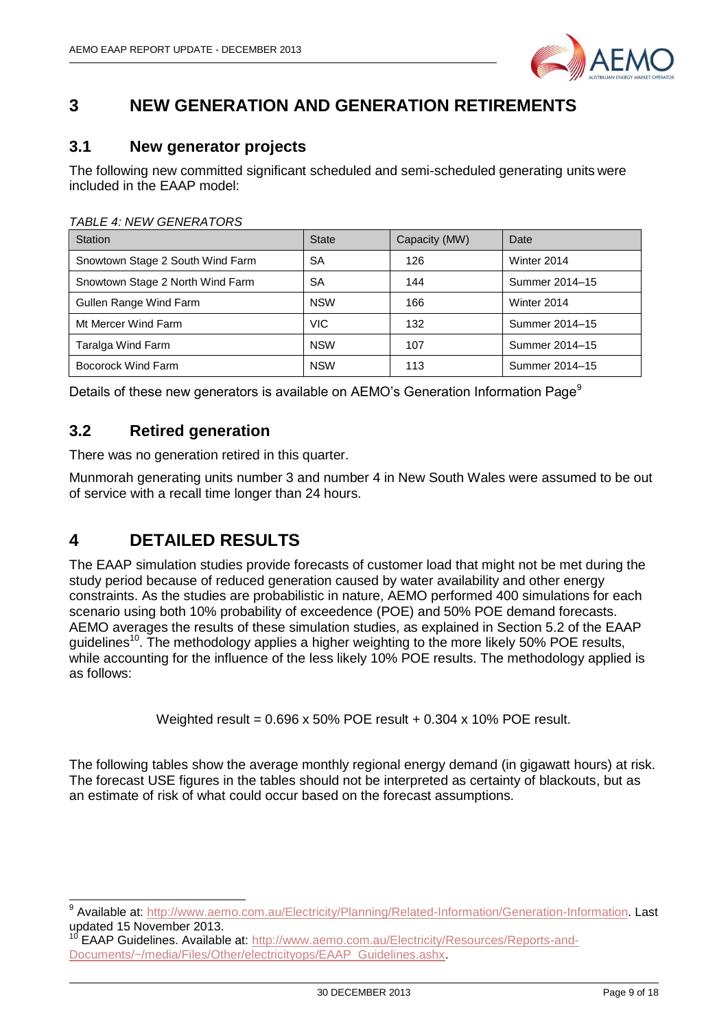

### <span id="page-8-0"></span>**3 NEW GENERATION AND GENERATION RETIREMENTS**

### <span id="page-8-1"></span>**3.1 New generator projects**

The following new committed significant scheduled and semi-scheduled generating units were included in the EAAP model:

| <b>Station</b>                   | <b>State</b> | Capacity (MW) | Date           |
|----------------------------------|--------------|---------------|----------------|
| Snowtown Stage 2 South Wind Farm | <b>SA</b>    | 126           | Winter 2014    |
| Snowtown Stage 2 North Wind Farm | <b>SA</b>    | 144           | Summer 2014-15 |
| Gullen Range Wind Farm           | <b>NSW</b>   | 166           | Winter 2014    |
| Mt Mercer Wind Farm              | <b>VIC</b>   | 132           | Summer 2014-15 |
| Taralga Wind Farm                | <b>NSW</b>   | 107           | Summer 2014-15 |
| Bocorock Wind Farm               | <b>NSW</b>   | 113           | Summer 2014-15 |

#### *TABLE 4: NEW GENERATORS*

Details of these new generators is available on AEMO's Generation Information Page<sup>9</sup>

### <span id="page-8-2"></span>**3.2 Retired generation**

There was no generation retired in this quarter.

Munmorah generating units number 3 and number 4 in New South Wales were assumed to be out of service with a recall time longer than 24 hours.

## <span id="page-8-3"></span>**4 DETAILED RESULTS**

The EAAP simulation studies provide forecasts of customer load that might not be met during the study period because of reduced generation caused by water availability and other energy constraints. As the studies are probabilistic in nature, AEMO performed 400 simulations for each scenario using both 10% probability of exceedence (POE) and 50% POE demand forecasts. AEMO averages the results of these simulation studies, as explained in Section 5.2 of the EAAP guidelines<sup>10</sup>. The methodology applies a higher weighting to the more likely 50% POE results, while accounting for the influence of the less likely 10% POE results. The methodology applied is as follows:

Weighted result = 0.696 x 50% POE result + 0.304 x 10% POE result.

The following tables show the average monthly regional energy demand (in gigawatt hours) at risk. The forecast USE figures in the tables should not be interpreted as certainty of blackouts, but as an estimate of risk of what could occur based on the forecast assumptions.

 9 Available at: [http://www.aemo.com.au/Electricity/Planning/Related-Information/Generation-Information.](http://www.aemo.com.au/Electricity/Planning/Related-Information/Generation-Information) Last updated 15 November 2013.

EAAP Guidelines. Available at: [http://www.aemo.com.au/Electricity/Resources/Reports-and-](http://www.aemo.com.au/Electricity/Resources/Reports-and-Documents/~/media/Files/Other/electricityops/EAAP_Guidelines.ashx)[Documents/~/media/Files/Other/electricityops/EAAP\\_Guidelines.ashx.](http://www.aemo.com.au/Electricity/Resources/Reports-and-Documents/~/media/Files/Other/electricityops/EAAP_Guidelines.ashx)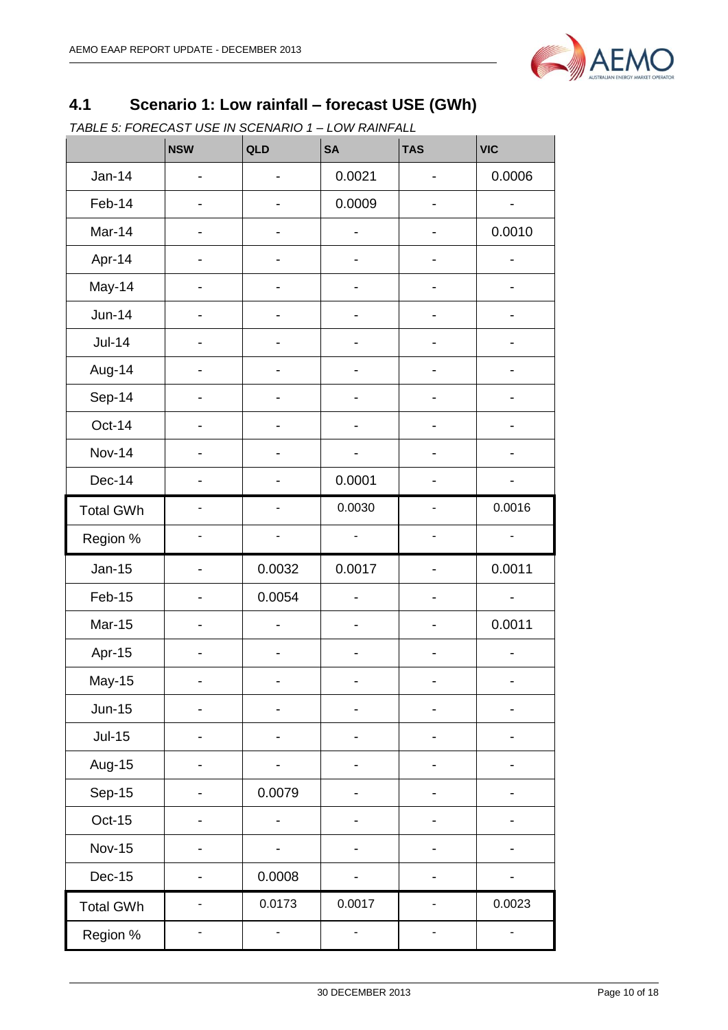

# <span id="page-9-0"></span>**4.1 Scenario 1: Low rainfall – forecast USE (GWh)**

*TABLE 5: FORECAST USE IN SCENARIO 1 – LOW RAINFALL*

|                  | <b>NSW</b>               | QLD                      | <b>SA</b>                    | <b>TAS</b>     | <b>VIC</b> |
|------------------|--------------------------|--------------------------|------------------------------|----------------|------------|
| <b>Jan-14</b>    |                          |                          | 0.0021                       |                | 0.0006     |
| Feb-14           |                          |                          | 0.0009                       |                |            |
| Mar-14           |                          |                          |                              |                | 0.0010     |
| Apr-14           |                          |                          |                              |                |            |
| May-14           |                          |                          |                              |                |            |
| <b>Jun-14</b>    |                          | $\overline{\phantom{0}}$ | $\overline{\phantom{0}}$     | -              |            |
| $Jul-14$         |                          |                          | $\overline{\phantom{0}}$     | -              | -          |
| Aug-14           |                          |                          |                              |                |            |
| Sep-14           |                          |                          |                              |                |            |
| Oct-14           |                          |                          |                              |                |            |
| <b>Nov-14</b>    |                          |                          |                              |                |            |
| Dec-14           |                          |                          | 0.0001                       |                |            |
| <b>Total GWh</b> | ÷,                       | ÷,                       | 0.0030                       | $\overline{a}$ | 0.0016     |
| Region %         |                          |                          | $\qquad \qquad \blacksquare$ | -              | -          |
| <b>Jan-15</b>    |                          | 0.0032                   | 0.0017                       |                | 0.0011     |
| Feb-15           |                          | 0.0054                   |                              |                |            |
| <b>Mar-15</b>    |                          |                          |                              |                | 0.0011     |
| Apr-15           |                          |                          |                              | -              | -          |
| May-15           |                          | ۳                        | ۰                            |                | ۰          |
| $Jun-15$         |                          |                          |                              |                |            |
| $Jul-15$         |                          |                          |                              |                |            |
| Aug-15           |                          |                          |                              |                |            |
| Sep-15           |                          | 0.0079                   |                              |                |            |
| $Oct-15$         |                          |                          |                              |                |            |
| <b>Nov-15</b>    |                          | -                        |                              |                |            |
| <b>Dec-15</b>    |                          | 0.0008                   |                              |                |            |
| <b>Total GWh</b> | $\overline{\phantom{0}}$ | 0.0173                   | 0.0017                       | -              | 0.0023     |
| Region %         |                          |                          |                              |                |            |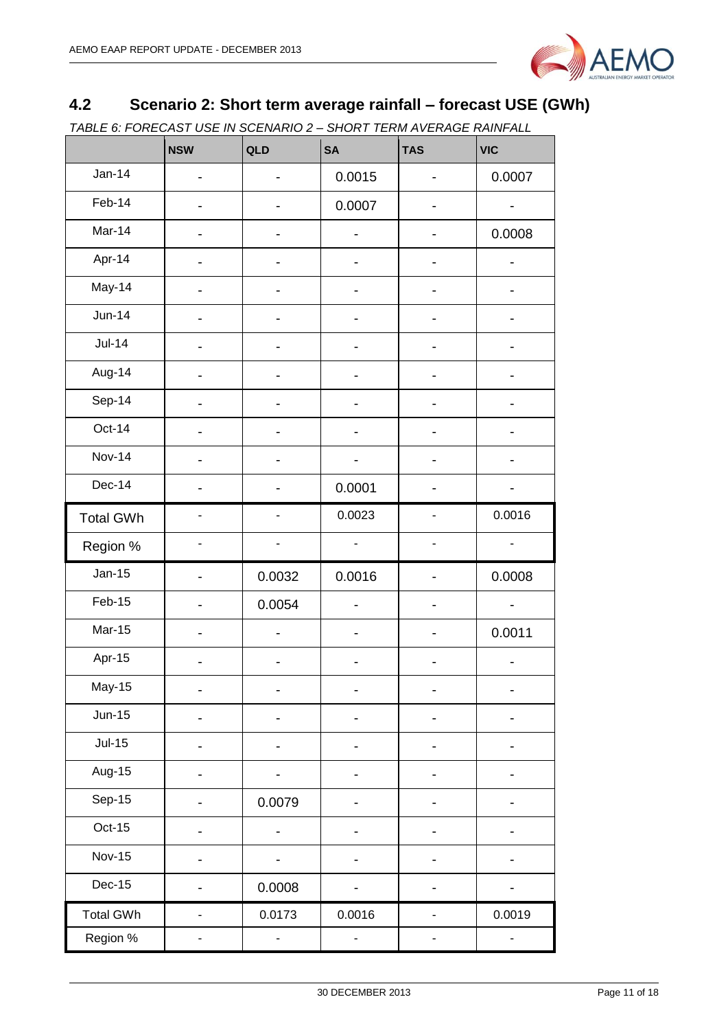

# <span id="page-10-0"></span>**4.2 Scenario 2: Short term average rainfall – forecast USE (GWh)**

*TABLE 6: FORECAST USE IN SCENARIO 2 – SHORT TERM AVERAGE RAINFALL*

|                  | <b>NSW</b>               | QLD                      | <b>SA</b>                    | <b>TAS</b>                   | <b>VIC</b>                   |
|------------------|--------------------------|--------------------------|------------------------------|------------------------------|------------------------------|
| <b>Jan-14</b>    |                          | $\overline{\phantom{0}}$ | 0.0015                       | -                            | 0.0007                       |
| Feb-14           |                          |                          | 0.0007                       |                              |                              |
| Mar-14           |                          |                          |                              |                              | 0.0008                       |
| Apr-14           |                          |                          |                              |                              |                              |
| May-14           |                          |                          |                              |                              |                              |
| <b>Jun-14</b>    |                          |                          |                              |                              |                              |
| <b>Jul-14</b>    |                          |                          |                              |                              |                              |
| Aug-14           |                          |                          |                              |                              |                              |
| Sep-14           |                          |                          |                              |                              |                              |
| Oct-14           |                          |                          | $\overline{\phantom{0}}$     |                              |                              |
| <b>Nov-14</b>    |                          | $\overline{\phantom{a}}$ | $\qquad \qquad \blacksquare$ | -                            |                              |
| Dec-14           | -                        | $\overline{\phantom{a}}$ | 0.0001                       | $\qquad \qquad \blacksquare$ | -                            |
| <b>Total GWh</b> | $\overline{a}$           | $\blacksquare$           | 0.0023                       | L.                           | 0.0016                       |
| Region %         | -                        | $\blacksquare$           | $\blacksquare$               | $\qquad \qquad \blacksquare$ | $\qquad \qquad \blacksquare$ |
| $Jan-15$         | $\overline{a}$           | 0.0032                   | 0.0016                       | $\overline{\phantom{0}}$     | 0.0008                       |
| Feb-15           | $\overline{\phantom{0}}$ | 0.0054                   | $\overline{\phantom{0}}$     | $\qquad \qquad \blacksquare$ | $\overline{\phantom{0}}$     |
| <b>Mar-15</b>    | -                        | $\overline{\phantom{0}}$ | $\qquad \qquad \blacksquare$ | -                            | 0.0011                       |
| Apr-15           |                          |                          |                              |                              |                              |
| May-15           |                          |                          |                              |                              |                              |
| $Jun-15$         |                          |                          |                              |                              |                              |
| $Jul-15$         |                          |                          |                              |                              |                              |
| Aug-15           |                          | $\overline{\phantom{a}}$ |                              |                              |                              |
| Sep-15           |                          | 0.0079                   |                              | -                            |                              |
| $Oct-15$         |                          |                          |                              |                              |                              |
| <b>Nov-15</b>    |                          |                          |                              |                              |                              |
| Dec-15           |                          | 0.0008                   |                              |                              |                              |
| <b>Total GWh</b> |                          | 0.0173                   | 0.0016                       |                              | 0.0019                       |
| Region %         |                          | -                        |                              |                              |                              |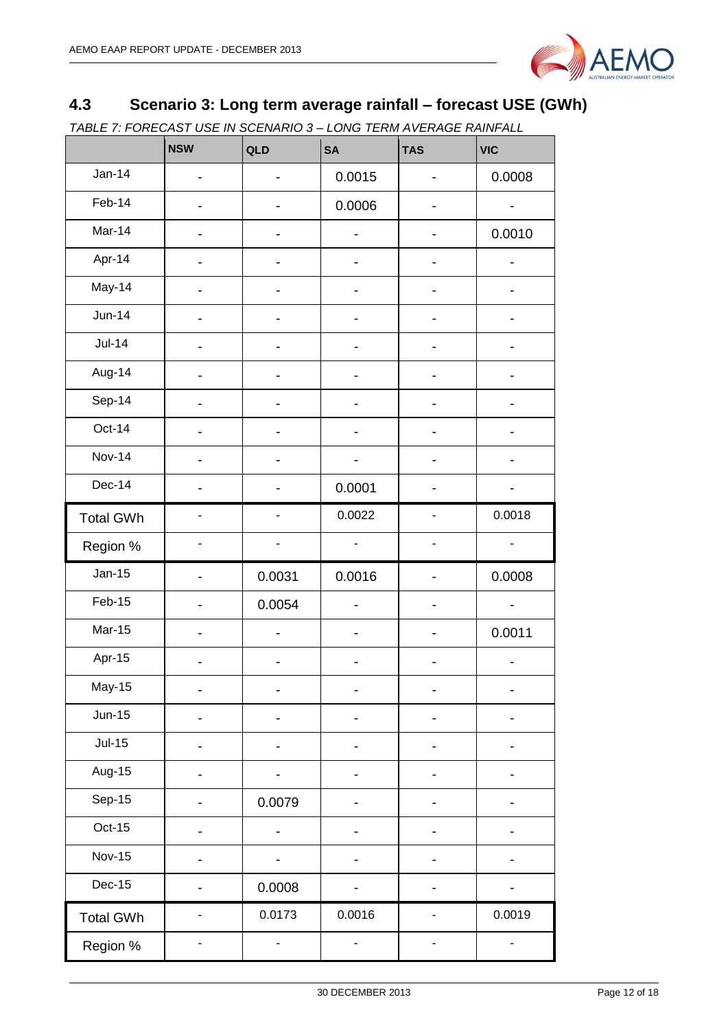

# <span id="page-11-0"></span>**4.3 Scenario 3: Long term average rainfall – forecast USE (GWh)**

*TABLE 7: FORECAST USE IN SCENARIO 3 – LONG TERM AVERAGE RAINFALL*

|                  | <b>NSW</b>                   | QLD                          | <b>SA</b>                | <b>TAS</b>                   | <b>VIC</b>                   |
|------------------|------------------------------|------------------------------|--------------------------|------------------------------|------------------------------|
| $Jan-14$         | $\overline{\phantom{0}}$     | -                            | 0.0015                   | $\qquad \qquad \blacksquare$ | 0.0008                       |
| Feb-14           |                              |                              | 0.0006                   |                              |                              |
| Mar-14           |                              |                              |                          |                              | 0.0010                       |
| Apr-14           |                              |                              |                          |                              |                              |
| May-14           |                              |                              |                          |                              |                              |
| $Jun-14$         |                              |                              |                          |                              |                              |
| <b>Jul-14</b>    |                              |                              |                          |                              |                              |
| Aug-14           |                              |                              |                          |                              |                              |
| Sep-14           |                              |                              |                          |                              |                              |
| Oct-14           | -                            | $\blacksquare$               | -                        | $\overline{\phantom{0}}$     |                              |
| <b>Nov-14</b>    | -                            | -                            | -                        | $\overline{\phantom{a}}$     |                              |
| Dec-14           | -                            |                              | 0.0001                   | -                            |                              |
| <b>Total GWh</b> | ä,                           |                              | 0.0022                   | $\frac{1}{2}$                | 0.0018                       |
| Region %         | $\qquad \qquad \blacksquare$ | $\qquad \qquad \blacksquare$ | $\blacksquare$           | $\overline{\phantom{a}}$     | $\overline{a}$               |
| $Jan-15$         | $\overline{a}$               | 0.0031                       | 0.0016                   | $\qquad \qquad \blacksquare$ | 0.0008                       |
| Feb-15           | $\qquad \qquad \blacksquare$ | 0.0054                       | $\overline{\phantom{0}}$ | $\overline{\phantom{a}}$     | $\qquad \qquad \blacksquare$ |
| <b>Mar-15</b>    |                              | $\overline{\phantom{0}}$     | -                        | $\overline{\phantom{0}}$     | 0.0011                       |
| Apr-15           |                              |                              |                          |                              |                              |
| <b>May-15</b>    |                              |                              |                          |                              |                              |
| $Jun-15$         |                              |                              |                          |                              |                              |
| $Jul-15$         |                              |                              |                          | -                            |                              |
| Aug-15           |                              |                              |                          |                              |                              |
| Sep-15           |                              | 0.0079                       |                          |                              |                              |
| Oct-15           |                              |                              |                          |                              |                              |
| <b>Nov-15</b>    |                              |                              |                          |                              |                              |
| Dec-15           |                              | 0.0008                       |                          |                              |                              |
| <b>Total GWh</b> |                              | 0.0173                       | 0.0016                   |                              | 0.0019                       |
| Region %         |                              |                              |                          |                              |                              |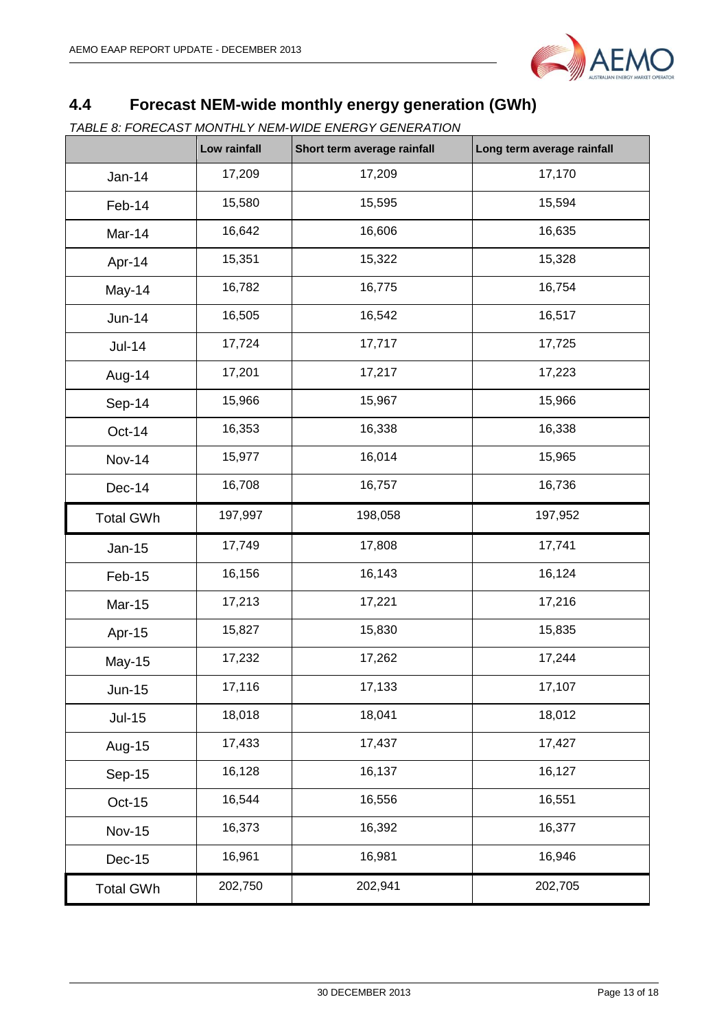

# <span id="page-12-0"></span>**4.4 Forecast NEM-wide monthly energy generation (GWh)**

*TABLE 8: FORECAST MONTHLY NEM-WIDE ENERGY GENERATION*

|                  | Low rainfall | Short term average rainfall | Long term average rainfall |
|------------------|--------------|-----------------------------|----------------------------|
| <b>Jan-14</b>    | 17,209       | 17,209                      | 17,170                     |
| Feb-14           | 15,580       | 15,595                      | 15,594                     |
| Mar-14           | 16,642       | 16,606                      | 16,635                     |
| Apr-14           | 15,351       | 15,322                      | 15,328                     |
| May-14           | 16,782       | 16,775                      | 16,754                     |
| <b>Jun-14</b>    | 16,505       | 16,542                      | 16,517                     |
| <b>Jul-14</b>    | 17,724       | 17,717                      | 17,725                     |
| Aug-14           | 17,201       | 17,217                      | 17,223                     |
| Sep-14           | 15,966       | 15,967                      | 15,966                     |
| Oct-14           | 16,353       | 16,338                      | 16,338                     |
| <b>Nov-14</b>    | 15,977       | 16,014                      | 15,965                     |
| <b>Dec-14</b>    | 16,708       | 16,757                      | 16,736                     |
| <b>Total GWh</b> | 197,997      | 198,058                     | 197,952                    |
| Jan-15           | 17,749       | 17,808                      | 17,741                     |
| Feb-15           | 16,156       | 16,143                      | 16,124                     |
| Mar-15           | 17,213       | 17,221                      | 17,216                     |
| Apr-15           | 15,827       | 15,830                      | 15,835                     |
| May-15           | 17,232       | 17,262                      | 17,244                     |
| <b>Jun-15</b>    | 17,116       | 17,133                      | 17,107                     |
| $Jul-15$         | 18,018       | 18,041                      | 18,012                     |
| Aug-15           | 17,433       | 17,437                      | 17,427                     |
| Sep-15           | 16,128       | 16,137                      | 16,127                     |
| Oct-15           | 16,544       | 16,556                      | 16,551                     |
| <b>Nov-15</b>    | 16,373       | 16,392                      | 16,377                     |
| <b>Dec-15</b>    | 16,961       | 16,981                      | 16,946                     |
| <b>Total GWh</b> | 202,750      | 202,941                     | 202,705                    |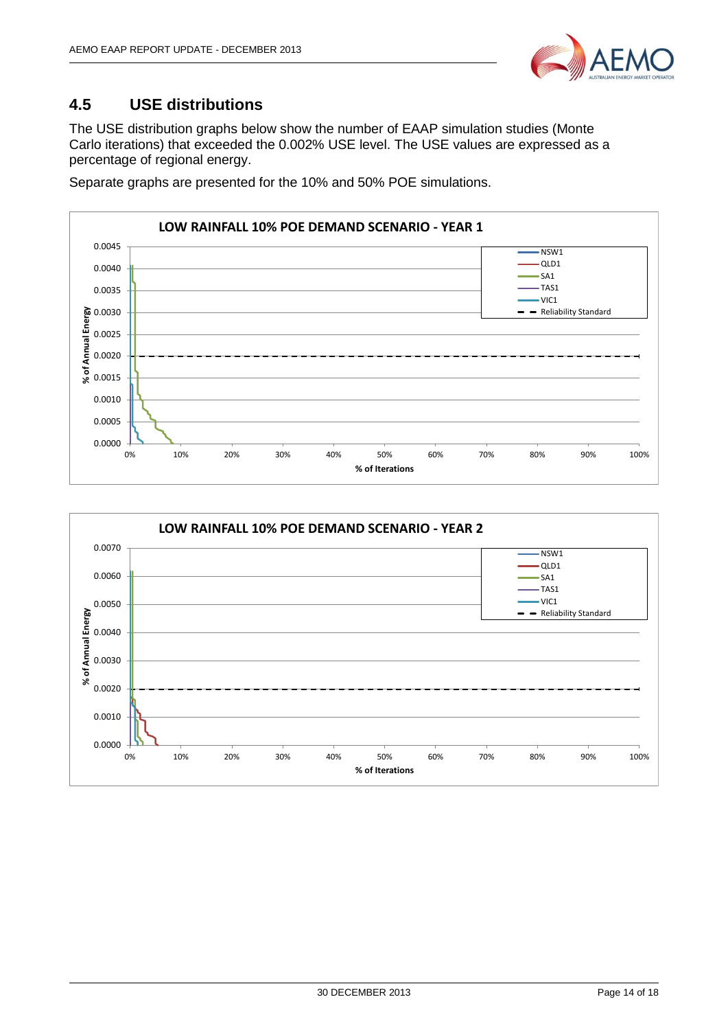

### <span id="page-13-0"></span>**4.5 USE distributions**

The USE distribution graphs below show the number of EAAP simulation studies (Monte Carlo iterations) that exceeded the 0.002% USE level. The USE values are expressed as a percentage of regional energy.

Separate graphs are presented for the 10% and 50% POE simulations.



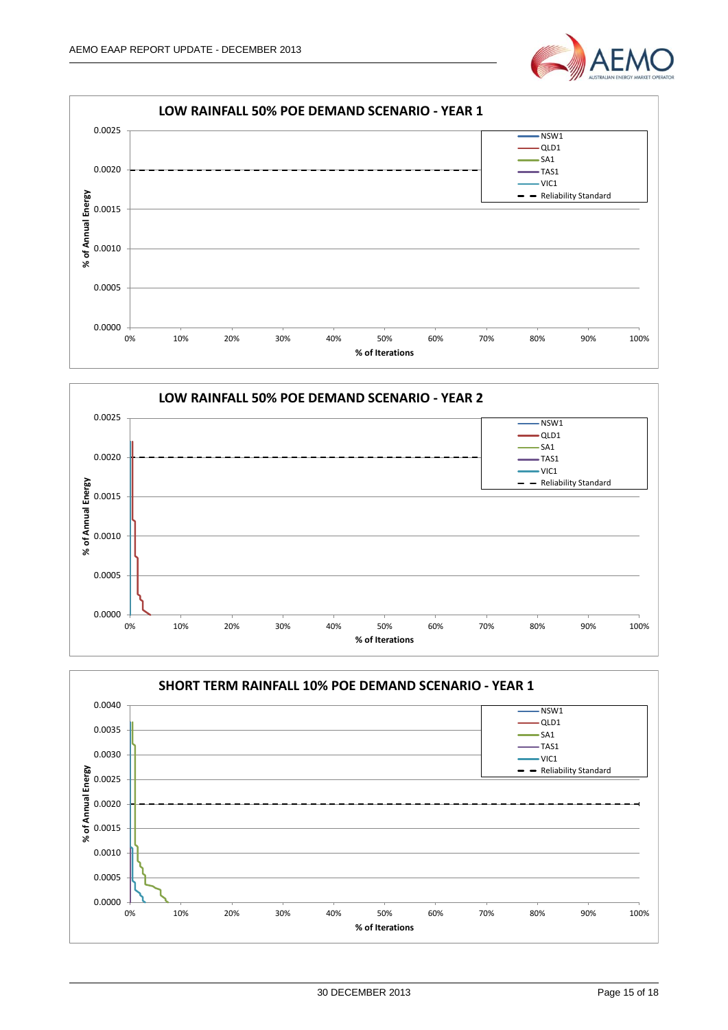





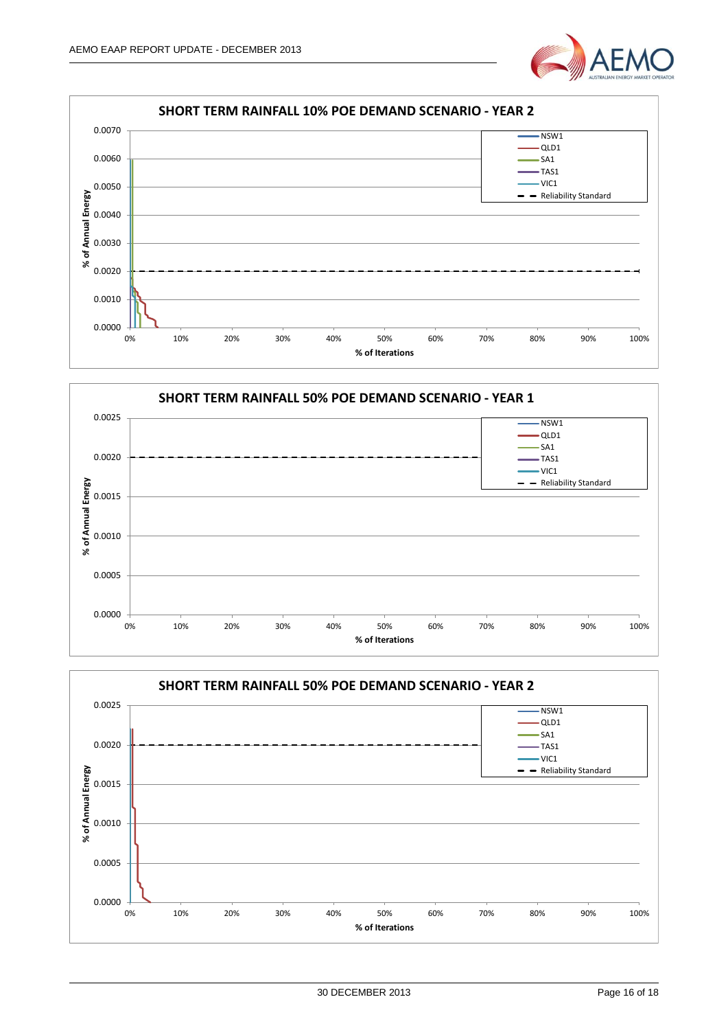





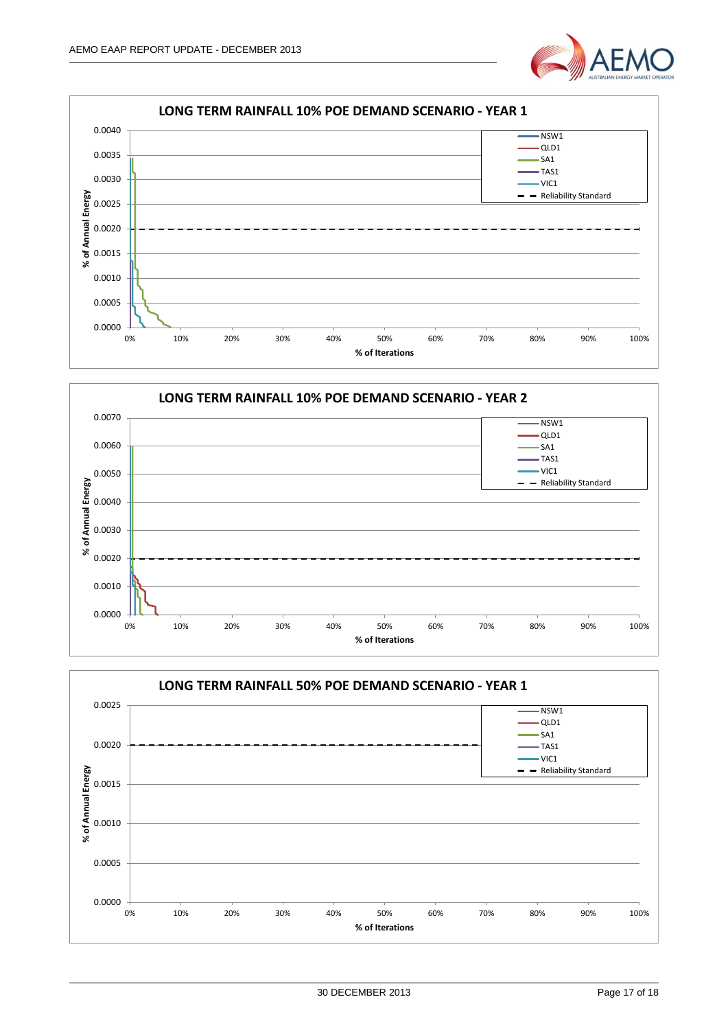